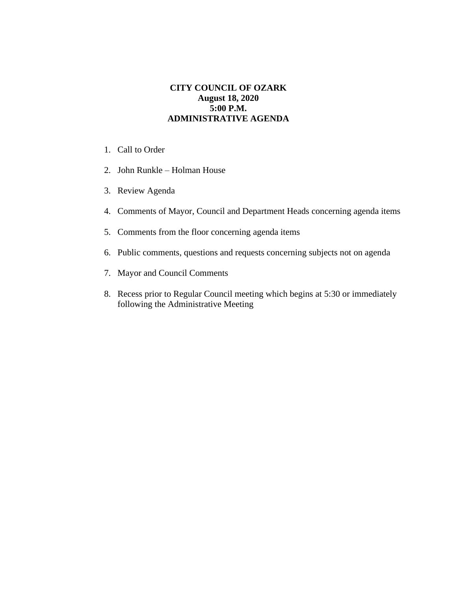## **CITY COUNCIL OF OZARK August 18, 2020 5:00 P.M. ADMINISTRATIVE AGENDA**

- 1. Call to Order
- 2. John Runkle Holman House
- 3. Review Agenda
- 4. Comments of Mayor, Council and Department Heads concerning agenda items
- 5. Comments from the floor concerning agenda items
- 6. Public comments, questions and requests concerning subjects not on agenda
- 7. Mayor and Council Comments
- 8. Recess prior to Regular Council meeting which begins at 5:30 or immediately following the Administrative Meeting